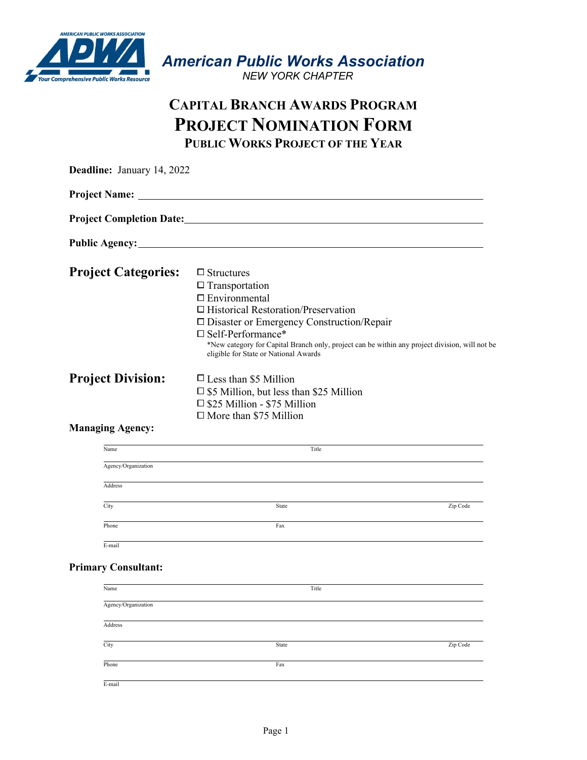

*American Public Works Association* 

 *NEW YORK CHAPTER*

## **CAPITAL BRANCH AWARDS PROGRAM PROJECT NOMINATION FORM PUBLIC WORKS PROJECT OF THE YEAR**

| <b>Project Name:</b><br>Public Agency:<br><b>Project Categories:</b><br>$\Box$ Structures<br>$\Box$ Transportation<br>$\square$ Environmental<br>$\Box$ Historical Restoration/Preservation<br>□ Disaster or Emergency Construction/Repair<br>$\square$ Self-Performance*<br>*New category for Capital Branch only, project can be within any project division, will not be<br>eligible for State or National Awards<br><b>Project Division:</b><br>$\Box$ Less than \$5 Million<br>$\square$ \$5 Million, but less than \$25 Million<br>$\square$ \$25 Million - \$75 Million<br>$\Box$ More than \$75 Million<br><b>Managing Agency:</b><br>Name<br>Title<br>Agency/Organization<br>Address<br>City<br>State<br>Zip Code | Deadline: January 14, 2022 |     |
|----------------------------------------------------------------------------------------------------------------------------------------------------------------------------------------------------------------------------------------------------------------------------------------------------------------------------------------------------------------------------------------------------------------------------------------------------------------------------------------------------------------------------------------------------------------------------------------------------------------------------------------------------------------------------------------------------------------------------|----------------------------|-----|
|                                                                                                                                                                                                                                                                                                                                                                                                                                                                                                                                                                                                                                                                                                                            |                            |     |
|                                                                                                                                                                                                                                                                                                                                                                                                                                                                                                                                                                                                                                                                                                                            |                            |     |
|                                                                                                                                                                                                                                                                                                                                                                                                                                                                                                                                                                                                                                                                                                                            |                            |     |
|                                                                                                                                                                                                                                                                                                                                                                                                                                                                                                                                                                                                                                                                                                                            |                            |     |
|                                                                                                                                                                                                                                                                                                                                                                                                                                                                                                                                                                                                                                                                                                                            |                            |     |
|                                                                                                                                                                                                                                                                                                                                                                                                                                                                                                                                                                                                                                                                                                                            |                            |     |
|                                                                                                                                                                                                                                                                                                                                                                                                                                                                                                                                                                                                                                                                                                                            |                            |     |
|                                                                                                                                                                                                                                                                                                                                                                                                                                                                                                                                                                                                                                                                                                                            |                            |     |
|                                                                                                                                                                                                                                                                                                                                                                                                                                                                                                                                                                                                                                                                                                                            |                            |     |
|                                                                                                                                                                                                                                                                                                                                                                                                                                                                                                                                                                                                                                                                                                                            |                            |     |
|                                                                                                                                                                                                                                                                                                                                                                                                                                                                                                                                                                                                                                                                                                                            | Phone                      | Fax |
| E-mail                                                                                                                                                                                                                                                                                                                                                                                                                                                                                                                                                                                                                                                                                                                     |                            |     |

| Name                | Title |          |
|---------------------|-------|----------|
| Agency/Organization |       |          |
| Address             |       |          |
| City                | State | Zip Code |
|                     |       |          |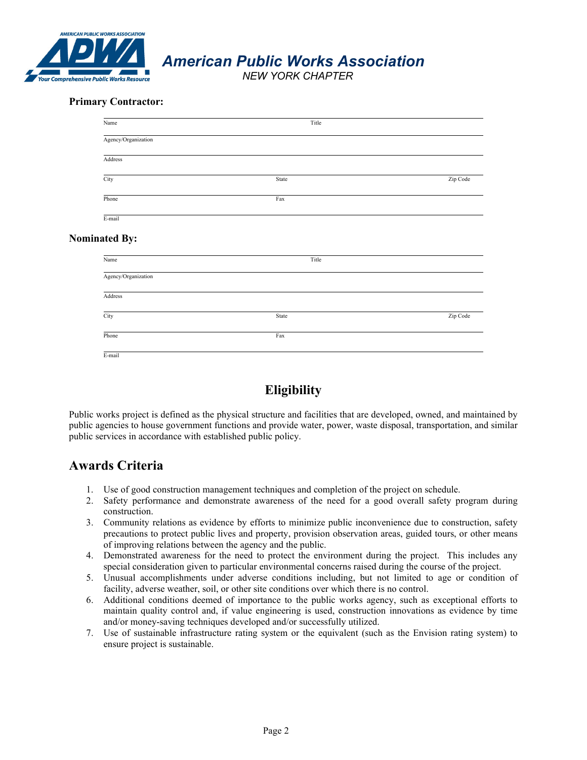

*American Public Works Association* 

 *NEW YORK CHAPTER*

## **Primary Contractor:**

| Title<br>State<br>Fax | Zip Code |
|-----------------------|----------|
|                       |          |
|                       |          |
|                       |          |
|                       |          |
|                       |          |
|                       |          |
| Title                 |          |
|                       |          |
|                       |          |
| State                 | Zip Code |
| Fax                   |          |
|                       |          |

## **Eligibility**

Public works project is defined as the physical structure and facilities that are developed, owned, and maintained by public agencies to house government functions and provide water, power, waste disposal, transportation, and similar public services in accordance with established public policy.

## **Awards Criteria**

- 1. Use of good construction management techniques and completion of the project on schedule.
- 2. Safety performance and demonstrate awareness of the need for a good overall safety program during construction.
- 3. Community relations as evidence by efforts to minimize public inconvenience due to construction, safety precautions to protect public lives and property, provision observation areas, guided tours, or other means of improving relations between the agency and the public.
- 4. Demonstrated awareness for the need to protect the environment during the project. This includes any special consideration given to particular environmental concerns raised during the course of the project.
- 5. Unusual accomplishments under adverse conditions including, but not limited to age or condition of facility, adverse weather, soil, or other site conditions over which there is no control.
- 6. Additional conditions deemed of importance to the public works agency, such as exceptional efforts to maintain quality control and, if value engineering is used, construction innovations as evidence by time and/or money-saving techniques developed and/or successfully utilized.
- 7. Use of sustainable infrastructure rating system or the equivalent (such as the Envision rating system) to ensure project is sustainable.